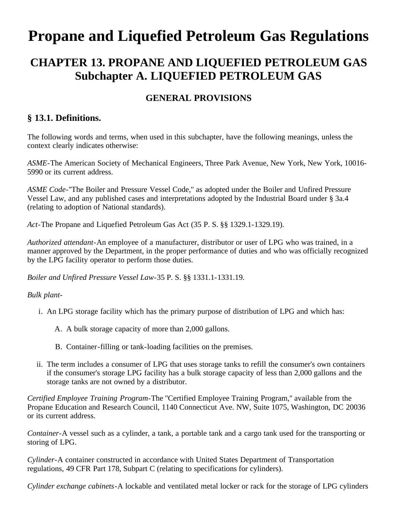# **Propane and Liquefied Petroleum Gas Regulations**

# **CHAPTER 13. PROPANE AND LIQUEFIED PETROLEUM GAS Subchapter A. LIQUEFIED PETROLEUM GAS**

#### **GENERAL PROVISIONS**

#### **§ 13.1. Definitions.**

The following words and terms, when used in this subchapter, have the following meanings, unless the context clearly indicates otherwise:

*ASME*-The American Society of Mechanical Engineers, Three Park Avenue, New York, New York, 10016- 5990 or its current address.

*ASME Code*-''The Boiler and Pressure Vessel Code,'' as adopted under the Boiler and Unfired Pressure Vessel Law, and any published cases and interpretations adopted by the Industrial Board under § 3a.4 (relating to adoption of National standards).

*Act*-The Propane and Liquefied Petroleum Gas Act (35 P. S. §§ 1329.1-1329.19).

*Authorized attendant*-An employee of a manufacturer, distributor or user of LPG who was trained, in a manner approved by the Department, in the proper performance of duties and who was officially recognized by the LPG facility operator to perform those duties.

*Boiler and Unfired Pressure Vessel Law*-35 P. S. §§ 1331.1-1331.19.

*Bulk plant*-

- i. An LPG storage facility which has the primary purpose of distribution of LPG and which has:
	- A. A bulk storage capacity of more than 2,000 gallons.
	- B. Container-filling or tank-loading facilities on the premises.
- ii. The term includes a consumer of LPG that uses storage tanks to refill the consumer's own containers if the consumer's storage LPG facility has a bulk storage capacity of less than 2,000 gallons and the storage tanks are not owned by a distributor.

*Certified Employee Training Program*-The ''Certified Employee Training Program,'' available from the Propane Education and Research Council, 1140 Connecticut Ave. NW, Suite 1075, Washington, DC 20036 or its current address.

*Container*-A vessel such as a cylinder, a tank, a portable tank and a cargo tank used for the transporting or storing of LPG.

*Cylinder*-A container constructed in accordance with United States Department of Transportation regulations, 49 CFR Part 178, Subpart C (relating to specifications for cylinders).

*Cylinder exchange cabinets*-A lockable and ventilated metal locker or rack for the storage of LPG cylinders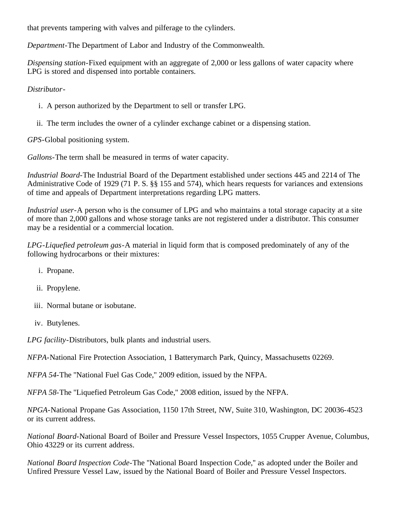that prevents tampering with valves and pilferage to the cylinders.

*Department*-The Department of Labor and Industry of the Commonwealth.

*Dispensing station*-Fixed equipment with an aggregate of 2,000 or less gallons of water capacity where LPG is stored and dispensed into portable containers.

#### *Distributor*-

- i. A person authorized by the Department to sell or transfer LPG.
- ii. The term includes the owner of a cylinder exchange cabinet or a dispensing station.

*GPS*-Global positioning system.

*Gallons*-The term shall be measured in terms of water capacity.

*Industrial Board*-The Industrial Board of the Department established under sections 445 and 2214 of The Administrative Code of 1929 (71 P. S. §§ 155 and 574), which hears requests for variances and extensions of time and appeals of Department interpretations regarding LPG matters.

*Industrial user*-A person who is the consumer of LPG and who maintains a total storage capacity at a site of more than 2,000 gallons and whose storage tanks are not registered under a distributor. This consumer may be a residential or a commercial location.

*LPG-Liquefied petroleum gas*-A material in liquid form that is composed predominately of any of the following hydrocarbons or their mixtures:

- i. Propane.
- ii. Propylene.
- iii. Normal butane or isobutane.
- iv. Butylenes.

*LPG facility*-Distributors, bulk plants and industrial users.

*NFPA*-National Fire Protection Association, 1 Batterymarch Park, Quincy, Massachusetts 02269.

*NFPA 54*-The ''National Fuel Gas Code,'' 2009 edition, issued by the NFPA.

*NFPA 58*-The ''Liquefied Petroleum Gas Code,'' 2008 edition, issued by the NFPA.

*NPGA*-National Propane Gas Association, 1150 17th Street, NW, Suite 310, Washington, DC 20036-4523 or its current address.

*National Board*-National Board of Boiler and Pressure Vessel Inspectors, 1055 Crupper Avenue, Columbus, Ohio 43229 or its current address.

*National Board Inspection Code*-The ''National Board Inspection Code,'' as adopted under the Boiler and Unfired Pressure Vessel Law, issued by the National Board of Boiler and Pressure Vessel Inspectors.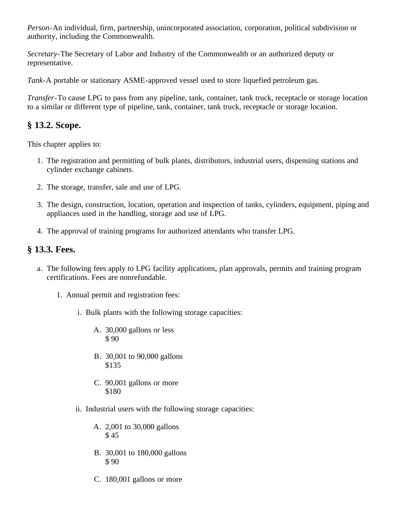*Person*-An individual, firm, partnership, unincorporated association, corporation, political subdivision or authority, including the Commonwealth.

*Secretary*-The Secretary of Labor and Industry of the Commonwealth or an authorized deputy or representative.

*Tank*-A portable or stationary ASME-approved vessel used to store liquefied petroleum gas.

*Transfer*-To cause LPG to pass from any pipeline, tank, container, tank truck, receptacle or storage location to a similar or different type of pipeline, tank, container, tank truck, receptacle or storage location.

# **§ 13.2. Scope.**

This chapter applies to:

- 1. The registration and permitting of bulk plants, distributors, industrial users, dispensing stations and cylinder exchange cabinets.
- 2. The storage, transfer, sale and use of LPG.
- 3. The design, construction, location, operation and inspection of tanks, cylinders, equipment, piping and appliances used in the handling, storage and use of LPG.
- 4. The approval of training programs for authorized attendants who transfer LPG.

#### **§ 13.3. Fees.**

- a. The following fees apply to LPG facility applications, plan approvals, permits and training program certifications. Fees are nonrefundable.
	- 1. Annual permit and registration fees:
		- i. Bulk plants with the following storage capacities:
			- A. 30,000 gallons or less \$ 90
			- B. 30,001 to 90,000 gallons \$135
			- C. 90,001 gallons or more \$180
		- ii. Industrial users with the following storage capacities:
			- A. 2,001 to 30,000 gallons \$ 45
			- B. 30,001 to 180,000 gallons \$ 90
			- C. 180,001 gallons or more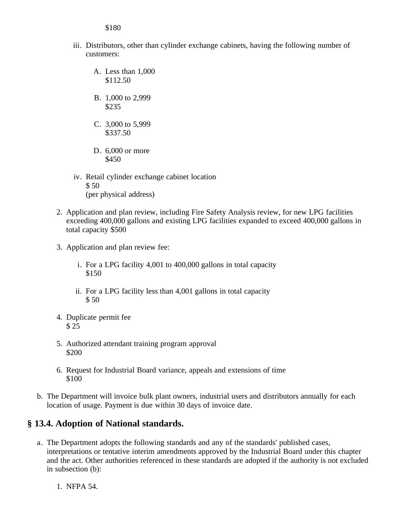\$180

- iii. Distributors, other than cylinder exchange cabinets, having the following number of customers:
	- A. Less than 1,000 \$112.50
	- B. 1,000 to 2,999 \$235
	- C. 3,000 to 5,999 \$337.50
	- D. 6,000 or more \$450
- iv. Retail cylinder exchange cabinet location \$ 50 (per physical address)
- 2. Application and plan review, including Fire Safety Analysis review, for new LPG facilities exceeding 400,000 gallons and existing LPG facilities expanded to exceed 400,000 gallons in total capacity \$500
- 3. Application and plan review fee:
	- i. For a LPG facility 4,001 to 400,000 gallons in total capacity \$150
	- ii. For a LPG facility less than 4,001 gallons in total capacity \$ 50
- 4. Duplicate permit fee \$ 25
- 5. Authorized attendant training program approval \$200
- 6. Request for Industrial Board variance, appeals and extensions of time \$100
- b. The Department will invoice bulk plant owners, industrial users and distributors annually for each location of usage. Payment is due within 30 days of invoice date.

#### **§ 13.4. Adoption of National standards.**

- a. The Department adopts the following standards and any of the standards' published cases, interpretations or tentative interim amendments approved by the Industrial Board under this chapter and the act. Other authorities referenced in these standards are adopted if the authority is not excluded in subsection (b):
	- 1. NFPA 54.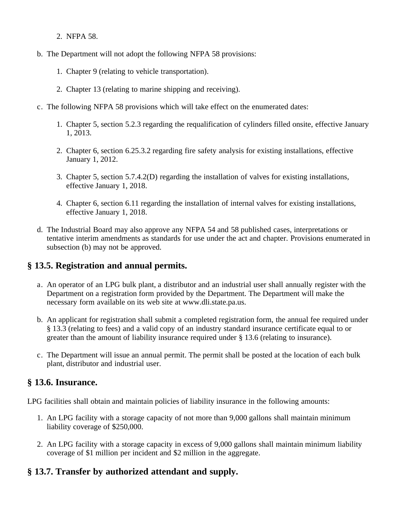- 2. NFPA 58.
- b. The Department will not adopt the following NFPA 58 provisions:
	- 1. Chapter 9 (relating to vehicle transportation).
	- 2. Chapter 13 (relating to marine shipping and receiving).
- c. The following NFPA 58 provisions which will take effect on the enumerated dates:
	- 1. Chapter 5, section 5.2.3 regarding the requalification of cylinders filled onsite, effective January 1, 2013.
	- 2. Chapter 6, section 6.25.3.2 regarding fire safety analysis for existing installations, effective January 1, 2012.
	- 3. Chapter 5, section 5.7.4.2(D) regarding the installation of valves for existing installations, effective January 1, 2018.
	- 4. Chapter 6, section 6.11 regarding the installation of internal valves for existing installations, effective January 1, 2018.
- d. The Industrial Board may also approve any NFPA 54 and 58 published cases, interpretations or tentative interim amendments as standards for use under the act and chapter. Provisions enumerated in subsection (b) may not be approved.

# **§ 13.5. Registration and annual permits.**

- a. An operator of an LPG bulk plant, a distributor and an industrial user shall annually register with the Department on a registration form provided by the Department. The Department will make the necessary form available on its web site at www.dli.state.pa.us.
- b. An applicant for registration shall submit a completed registration form, the annual fee required under § 13.3 (relating to fees) and a valid copy of an industry standard insurance certificate equal to or greater than the amount of liability insurance required under § 13.6 (relating to insurance).
- c. The Department will issue an annual permit. The permit shall be posted at the location of each bulk plant, distributor and industrial user.

# **§ 13.6. Insurance.**

LPG facilities shall obtain and maintain policies of liability insurance in the following amounts:

- 1. An LPG facility with a storage capacity of not more than 9,000 gallons shall maintain minimum liability coverage of \$250,000.
- 2. An LPG facility with a storage capacity in excess of 9,000 gallons shall maintain minimum liability coverage of \$1 million per incident and \$2 million in the aggregate.

# **§ 13.7. Transfer by authorized attendant and supply.**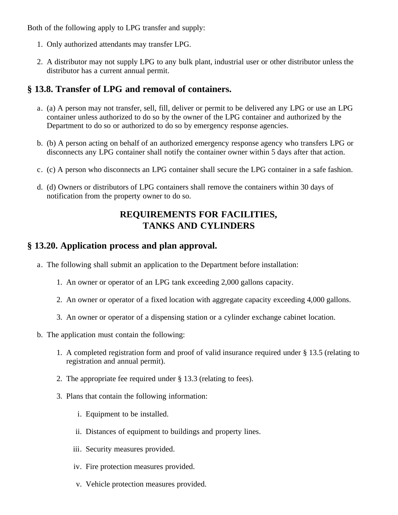Both of the following apply to LPG transfer and supply:

- 1. Only authorized attendants may transfer LPG.
- 2. A distributor may not supply LPG to any bulk plant, industrial user or other distributor unless the distributor has a current annual permit.

#### **§ 13.8. Transfer of LPG and removal of containers.**

- a. (a) A person may not transfer, sell, fill, deliver or permit to be delivered any LPG or use an LPG container unless authorized to do so by the owner of the LPG container and authorized by the Department to do so or authorized to do so by emergency response agencies.
- b. (b) A person acting on behalf of an authorized emergency response agency who transfers LPG or disconnects any LPG container shall notify the container owner within 5 days after that action.
- c. (c) A person who disconnects an LPG container shall secure the LPG container in a safe fashion.
- d. (d) Owners or distributors of LPG containers shall remove the containers within 30 days of notification from the property owner to do so.

# **REQUIREMENTS FOR FACILITIES, TANKS AND CYLINDERS**

#### **§ 13.20. Application process and plan approval.**

- a. The following shall submit an application to the Department before installation:
	- 1. An owner or operator of an LPG tank exceeding 2,000 gallons capacity.
	- 2. An owner or operator of a fixed location with aggregate capacity exceeding 4,000 gallons.
	- 3. An owner or operator of a dispensing station or a cylinder exchange cabinet location.
- b. The application must contain the following:
	- 1. A completed registration form and proof of valid insurance required under § 13.5 (relating to registration and annual permit).
	- 2. The appropriate fee required under § 13.3 (relating to fees).
	- 3. Plans that contain the following information:
		- i. Equipment to be installed.
		- ii. Distances of equipment to buildings and property lines.
		- iii. Security measures provided.
		- iv. Fire protection measures provided.
		- v. Vehicle protection measures provided.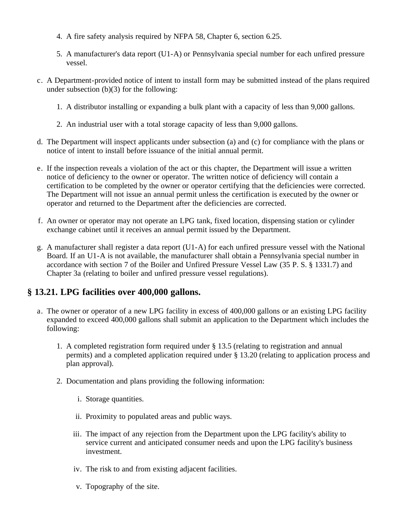- 4. A fire safety analysis required by NFPA 58, Chapter 6, section 6.25.
- 5. A manufacturer's data report (U1-A) or Pennsylvania special number for each unfired pressure vessel.
- c. A Department-provided notice of intent to install form may be submitted instead of the plans required under subsection  $(b)(3)$  for the following:
	- 1. A distributor installing or expanding a bulk plant with a capacity of less than 9,000 gallons.
	- 2. An industrial user with a total storage capacity of less than 9,000 gallons.
- d. The Department will inspect applicants under subsection (a) and (c) for compliance with the plans or notice of intent to install before issuance of the initial annual permit.
- e. If the inspection reveals a violation of the act or this chapter, the Department will issue a written notice of deficiency to the owner or operator. The written notice of deficiency will contain a certification to be completed by the owner or operator certifying that the deficiencies were corrected. The Department will not issue an annual permit unless the certification is executed by the owner or operator and returned to the Department after the deficiencies are corrected.
- f. An owner or operator may not operate an LPG tank, fixed location, dispensing station or cylinder exchange cabinet until it receives an annual permit issued by the Department.
- g. A manufacturer shall register a data report (U1-A) for each unfired pressure vessel with the National Board. If an U1-A is not available, the manufacturer shall obtain a Pennsylvania special number in accordance with section 7 of the Boiler and Unfired Pressure Vessel Law (35 P. S. § 1331.7) and Chapter 3a (relating to boiler and unfired pressure vessel regulations).

# **§ 13.21. LPG facilities over 400,000 gallons.**

- a. The owner or operator of a new LPG facility in excess of 400,000 gallons or an existing LPG facility expanded to exceed 400,000 gallons shall submit an application to the Department which includes the following:
	- 1. A completed registration form required under § 13.5 (relating to registration and annual permits) and a completed application required under § 13.20 (relating to application process and plan approval).
	- 2. Documentation and plans providing the following information:
		- i. Storage quantities.
		- ii. Proximity to populated areas and public ways.
		- iii. The impact of any rejection from the Department upon the LPG facility's ability to service current and anticipated consumer needs and upon the LPG facility's business investment.
		- iv. The risk to and from existing adjacent facilities.
		- v. Topography of the site.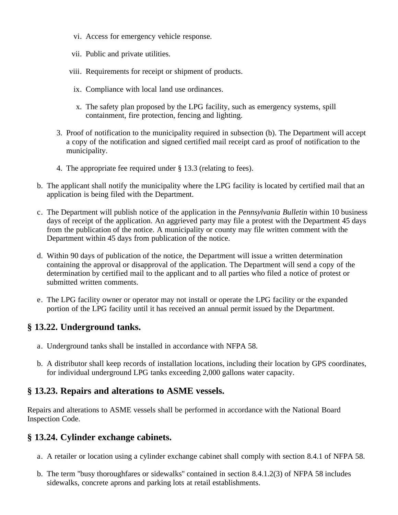- vi. Access for emergency vehicle response.
- vii. Public and private utilities.
- viii. Requirements for receipt or shipment of products.
	- ix. Compliance with local land use ordinances.
	- x. The safety plan proposed by the LPG facility, such as emergency systems, spill containment, fire protection, fencing and lighting.
- 3. Proof of notification to the municipality required in subsection (b). The Department will accept a copy of the notification and signed certified mail receipt card as proof of notification to the municipality.
- 4. The appropriate fee required under § 13.3 (relating to fees).
- b. The applicant shall notify the municipality where the LPG facility is located by certified mail that an application is being filed with the Department.
- c. The Department will publish notice of the application in the *Pennsylvania Bulletin* within 10 business days of receipt of the application. An aggrieved party may file a protest with the Department 45 days from the publication of the notice. A municipality or county may file written comment with the Department within 45 days from publication of the notice.
- d. Within 90 days of publication of the notice, the Department will issue a written determination containing the approval or disapproval of the application. The Department will send a copy of the determination by certified mail to the applicant and to all parties who filed a notice of protest or submitted written comments.
- e. The LPG facility owner or operator may not install or operate the LPG facility or the expanded portion of the LPG facility until it has received an annual permit issued by the Department.

#### **§ 13.22. Underground tanks.**

- a. Underground tanks shall be installed in accordance with NFPA 58.
- b. A distributor shall keep records of installation locations, including their location by GPS coordinates, for individual underground LPG tanks exceeding 2,000 gallons water capacity.

# **§ 13.23. Repairs and alterations to ASME vessels.**

Repairs and alterations to ASME vessels shall be performed in accordance with the National Board Inspection Code.

#### **§ 13.24. Cylinder exchange cabinets.**

- a. A retailer or location using a cylinder exchange cabinet shall comply with section 8.4.1 of NFPA 58.
- b. The term ''busy thoroughfares or sidewalks'' contained in section 8.4.1.2(3) of NFPA 58 includes sidewalks, concrete aprons and parking lots at retail establishments.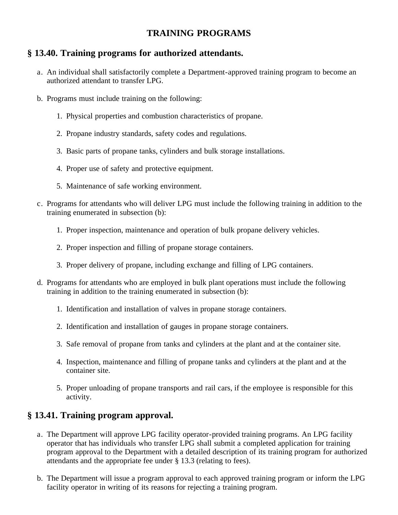# **TRAINING PROGRAMS**

# **§ 13.40. Training programs for authorized attendants.**

- a. An individual shall satisfactorily complete a Department-approved training program to become an authorized attendant to transfer LPG.
- b. Programs must include training on the following:
	- 1. Physical properties and combustion characteristics of propane.
	- 2. Propane industry standards, safety codes and regulations.
	- 3. Basic parts of propane tanks, cylinders and bulk storage installations.
	- 4. Proper use of safety and protective equipment.
	- 5. Maintenance of safe working environment.
- c. Programs for attendants who will deliver LPG must include the following training in addition to the training enumerated in subsection (b):
	- 1. Proper inspection, maintenance and operation of bulk propane delivery vehicles.
	- 2. Proper inspection and filling of propane storage containers.
	- 3. Proper delivery of propane, including exchange and filling of LPG containers.
- d. Programs for attendants who are employed in bulk plant operations must include the following training in addition to the training enumerated in subsection (b):
	- 1. Identification and installation of valves in propane storage containers.
	- 2. Identification and installation of gauges in propane storage containers.
	- 3. Safe removal of propane from tanks and cylinders at the plant and at the container site.
	- 4. Inspection, maintenance and filling of propane tanks and cylinders at the plant and at the container site.
	- 5. Proper unloading of propane transports and rail cars, if the employee is responsible for this activity.

# **§ 13.41. Training program approval.**

- a. The Department will approve LPG facility operator-provided training programs. An LPG facility operator that has individuals who transfer LPG shall submit a completed application for training program approval to the Department with a detailed description of its training program for authorized attendants and the appropriate fee under § 13.3 (relating to fees).
- b. The Department will issue a program approval to each approved training program or inform the LPG facility operator in writing of its reasons for rejecting a training program.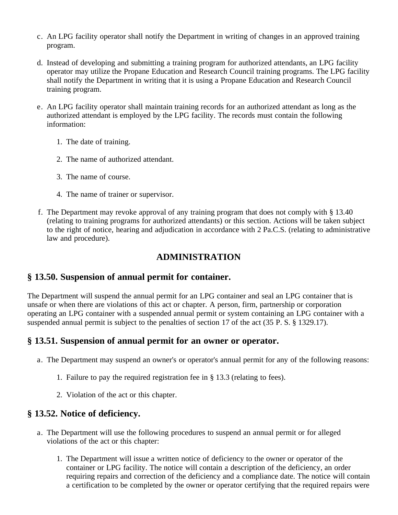- c. An LPG facility operator shall notify the Department in writing of changes in an approved training program.
- d. Instead of developing and submitting a training program for authorized attendants, an LPG facility operator may utilize the Propane Education and Research Council training programs. The LPG facility shall notify the Department in writing that it is using a Propane Education and Research Council training program.
- e. An LPG facility operator shall maintain training records for an authorized attendant as long as the authorized attendant is employed by the LPG facility. The records must contain the following information:
	- 1. The date of training.
	- 2. The name of authorized attendant.
	- 3. The name of course.
	- 4. The name of trainer or supervisor.
- f. The Department may revoke approval of any training program that does not comply with § 13.40 (relating to training programs for authorized attendants) or this section. Actions will be taken subject to the right of notice, hearing and adjudication in accordance with 2 Pa.C.S. (relating to administrative law and procedure).

# **ADMINISTRATION**

#### **§ 13.50. Suspension of annual permit for container.**

The Department will suspend the annual permit for an LPG container and seal an LPG container that is unsafe or when there are violations of this act or chapter. A person, firm, partnership or corporation operating an LPG container with a suspended annual permit or system containing an LPG container with a suspended annual permit is subject to the penalties of section 17 of the act (35 P. S. § 1329.17).

# **§ 13.51. Suspension of annual permit for an owner or operator.**

- a. The Department may suspend an owner's or operator's annual permit for any of the following reasons:
	- 1. Failure to pay the required registration fee in § 13.3 (relating to fees).
	- 2. Violation of the act or this chapter.

#### **§ 13.52. Notice of deficiency.**

- a. The Department will use the following procedures to suspend an annual permit or for alleged violations of the act or this chapter:
	- 1. The Department will issue a written notice of deficiency to the owner or operator of the container or LPG facility. The notice will contain a description of the deficiency, an order requiring repairs and correction of the deficiency and a compliance date. The notice will contain a certification to be completed by the owner or operator certifying that the required repairs were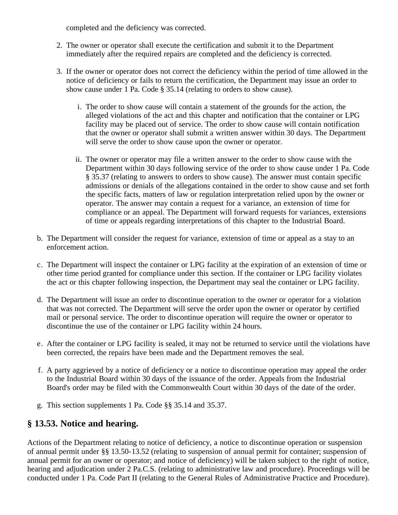completed and the deficiency was corrected.

- 2. The owner or operator shall execute the certification and submit it to the Department immediately after the required repairs are completed and the deficiency is corrected.
- 3. If the owner or operator does not correct the deficiency within the period of time allowed in the notice of deficiency or fails to return the certification, the Department may issue an order to show cause under 1 Pa. Code § 35.14 (relating to orders to show cause).
	- i. The order to show cause will contain a statement of the grounds for the action, the alleged violations of the act and this chapter and notification that the container or LPG facility may be placed out of service. The order to show cause will contain notification that the owner or operator shall submit a written answer within 30 days. The Department will serve the order to show cause upon the owner or operator.
	- ii. The owner or operator may file a written answer to the order to show cause with the Department within 30 days following service of the order to show cause under 1 Pa. Code § 35.37 (relating to answers to orders to show cause). The answer must contain specific admissions or denials of the allegations contained in the order to show cause and set forth the specific facts, matters of law or regulation interpretation relied upon by the owner or operator. The answer may contain a request for a variance, an extension of time for compliance or an appeal. The Department will forward requests for variances, extensions of time or appeals regarding interpretations of this chapter to the Industrial Board.
- b. The Department will consider the request for variance, extension of time or appeal as a stay to an enforcement action.
- c. The Department will inspect the container or LPG facility at the expiration of an extension of time or other time period granted for compliance under this section. If the container or LPG facility violates the act or this chapter following inspection, the Department may seal the container or LPG facility.
- d. The Department will issue an order to discontinue operation to the owner or operator for a violation that was not corrected. The Department will serve the order upon the owner or operator by certified mail or personal service. The order to discontinue operation will require the owner or operator to discontinue the use of the container or LPG facility within 24 hours.
- e. After the container or LPG facility is sealed, it may not be returned to service until the violations have been corrected, the repairs have been made and the Department removes the seal.
- f. A party aggrieved by a notice of deficiency or a notice to discontinue operation may appeal the order to the Industrial Board within 30 days of the issuance of the order. Appeals from the Industrial Board's order may be filed with the Commonwealth Court within 30 days of the date of the order.
- g. This section supplements 1 Pa. Code §§ 35.14 and 35.37.

#### **§ 13.53. Notice and hearing.**

Actions of the Department relating to notice of deficiency, a notice to discontinue operation or suspension of annual permit under §§ 13.50-13.52 (relating to suspension of annual permit for container; suspension of annual permit for an owner or operator; and notice of deficiency) will be taken subject to the right of notice, hearing and adjudication under 2 Pa.C.S. (relating to administrative law and procedure). Proceedings will be conducted under 1 Pa. Code Part II (relating to the General Rules of Administrative Practice and Procedure).